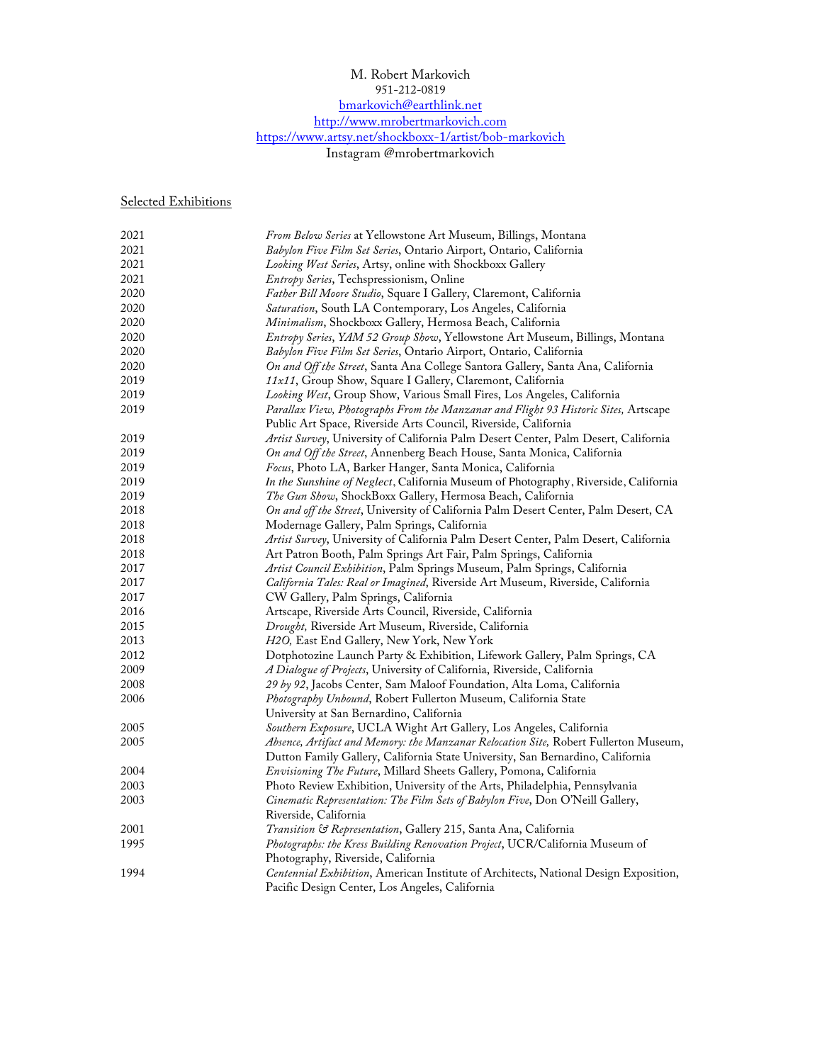## M. Robert Markovich 951-212-0819 bmarkovich@earthlink.net http://www.mrobertmarkovich.com https://www.artsy.net/shockboxx-1/artist/bob-markovich

Instagram @mrobertmarkovich

Selected Exhibitions

| 2021     | From Below Series at Yellowstone Art Museum, Billings, Montana                       |
|----------|--------------------------------------------------------------------------------------|
| 2021     | Babylon Five Film Set Series, Ontario Airport, Ontario, California                   |
| 2021     | Looking West Series, Artsy, online with Shockboxx Gallery                            |
| 2021     | <i>Entropy Series</i> , Techspressionism, Online                                     |
| 2020     | Father Bill Moore Studio, Square I Gallery, Claremont, California                    |
| 2020     | Saturation, South LA Contemporary, Los Angeles, California                           |
| 2020     | Minimalism, Shockboxx Gallery, Hermosa Beach, California                             |
| 2020     | Entropy Series, YAM 52 Group Show, Yellowstone Art Museum, Billings, Montana         |
| 2020     | Babylon Five Film Set Series, Ontario Airport, Ontario, California                   |
| 2020     | On and Off the Street, Santa Ana College Santora Gallery, Santa Ana, California      |
| 2019     | 11x11, Group Show, Square I Gallery, Claremont, California                           |
| 2019     | Looking West, Group Show, Various Small Fires, Los Angeles, California               |
| 2019     | Parallax View, Photographs From the Manzanar and Flight 93 Historic Sites, Artscape  |
|          | Public Art Space, Riverside Arts Council, Riverside, California                      |
| 2019     | Artist Survey, University of California Palm Desert Center, Palm Desert, California  |
| 2019     | On and Off the Street, Annenberg Beach House, Santa Monica, California               |
| 2019     | Focus, Photo LA, Barker Hanger, Santa Monica, California                             |
| 2019     | In the Sunshine of Neglect, California Museum of Photography, Riverside, California  |
| 2019     | The Gun Show, ShockBoxx Gallery, Hermosa Beach, California                           |
| 2018     | On and off the Street, University of California Palm Desert Center, Palm Desert, CA  |
| 2018     | Modernage Gallery, Palm Springs, California                                          |
| 2018     | Artist Survey, University of California Palm Desert Center, Palm Desert, California  |
| $2018\,$ | Art Patron Booth, Palm Springs Art Fair, Palm Springs, California                    |
| 2017     | Artist Council Exhibition, Palm Springs Museum, Palm Springs, California             |
| 2017     | California Tales: Real or Imagined, Riverside Art Museum, Riverside, California      |
| 2017     | CW Gallery, Palm Springs, California                                                 |
| 2016     | Artscape, Riverside Arts Council, Riverside, California                              |
| 2015     | Drought, Riverside Art Museum, Riverside, California                                 |
| 2013     | H2O, East End Gallery, New York, New York                                            |
| 2012     | Dotphotozine Launch Party & Exhibition, Lifework Gallery, Palm Springs, CA           |
| 2009     | A Dialogue of Projects, University of California, Riverside, California              |
| 2008     | 29 by 92, Jacobs Center, Sam Maloof Foundation, Alta Loma, California                |
| 2006     | Photography Unbound, Robert Fullerton Museum, California State                       |
|          | University at San Bernardino, California                                             |
| 2005     | Southern Exposure, UCLA Wight Art Gallery, Los Angeles, California                   |
| 2005     | Absence, Artifact and Memory: the Manzanar Relocation Site, Robert Fullerton Museum, |
|          | Dutton Family Gallery, California State University, San Bernardino, California       |
| 2004     | Envisioning The Future, Millard Sheets Gallery, Pomona, California                   |
| 2003     | Photo Review Exhibition, University of the Arts, Philadelphia, Pennsylvania          |
| 2003     | Cinematic Representation: The Film Sets of Babylon Five, Don O'Neill Gallery,        |
|          | Riverside, California                                                                |
| 2001     | Transition & Representation, Gallery 215, Santa Ana, California                      |
| 1995     | Photographs: the Kress Building Renovation Project, UCR/California Museum of         |
|          | Photography, Riverside, California                                                   |
| 1994     | Centennial Exhibition, American Institute of Architects, National Design Exposition, |
|          | Pacific Design Center, Los Angeles, California                                       |